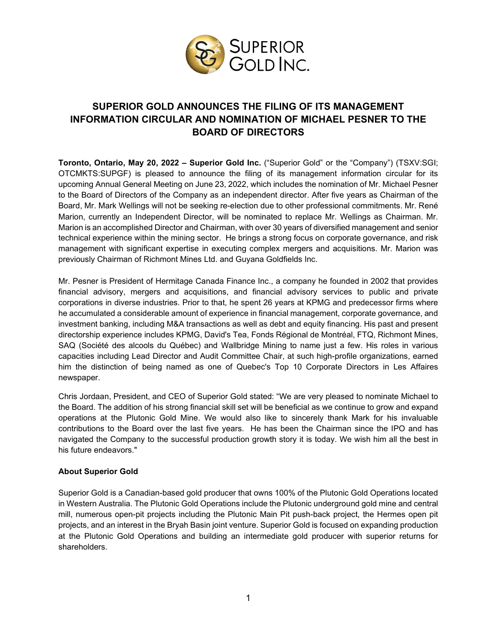

## **SUPERIOR GOLD ANNOUNCES THE FILING OF ITS MANAGEMENT INFORMATION CIRCULAR AND NOMINATION OF MICHAEL PESNER TO THE BOARD OF DIRECTORS**

**Toronto, Ontario, May 20, 2022 – Superior Gold Inc.** ("Superior Gold" or the "Company") (TSXV:SGI; OTCMKTS:SUPGF) is pleased to announce the filing of its management information circular for its upcoming Annual General Meeting on June 23, 2022, which includes the nomination of Mr. Michael Pesner to the Board of Directors of the Company as an independent director. After five years as Chairman of the Board, Mr. Mark Wellings will not be seeking re-election due to other professional commitments. Mr. René Marion, currently an Independent Director, will be nominated to replace Mr. Wellings as Chairman. Mr. Marion is an accomplished Director and Chairman, with over 30 years of diversified management and senior technical experience within the mining sector. He brings a strong focus on corporate governance, and risk management with significant expertise in executing complex mergers and acquisitions. Mr. Marion was previously Chairman of Richmont Mines Ltd. and Guyana Goldfields Inc.

Mr. Pesner is President of Hermitage Canada Finance Inc., a company he founded in 2002 that provides financial advisory, mergers and acquisitions, and financial advisory services to public and private corporations in diverse industries. Prior to that, he spent 26 years at KPMG and predecessor firms where he accumulated a considerable amount of experience in financial management, corporate governance, and investment banking, including M&A transactions as well as debt and equity financing. His past and present directorship experience includes KPMG, David's Tea, Fonds Régional de Montréal, FTQ, Richmont Mines, SAQ (Société des alcools du Québec) and Wallbridge Mining to name just a few. His roles in various capacities including Lead Director and Audit Committee Chair, at such high-profile organizations, earned him the distinction of being named as one of Quebec's Top 10 Corporate Directors in Les Affaires newspaper.

Chris Jordaan, President, and CEO of Superior Gold stated: "We are very pleased to nominate Michael to the Board. The addition of his strong financial skill set will be beneficial as we continue to grow and expand operations at the Plutonic Gold Mine. We would also like to sincerely thank Mark for his invaluable contributions to the Board over the last five years. He has been the Chairman since the IPO and has navigated the Company to the successful production growth story it is today. We wish him all the best in his future endeavors."

## **About Superior Gold**

Superior Gold is a Canadian-based gold producer that owns 100% of the Plutonic Gold Operations located in Western Australia. The Plutonic Gold Operations include the Plutonic underground gold mine and central mill, numerous open-pit projects including the Plutonic Main Pit push-back project, the Hermes open pit projects, and an interest in the Bryah Basin joint venture. Superior Gold is focused on expanding production at the Plutonic Gold Operations and building an intermediate gold producer with superior returns for shareholders.